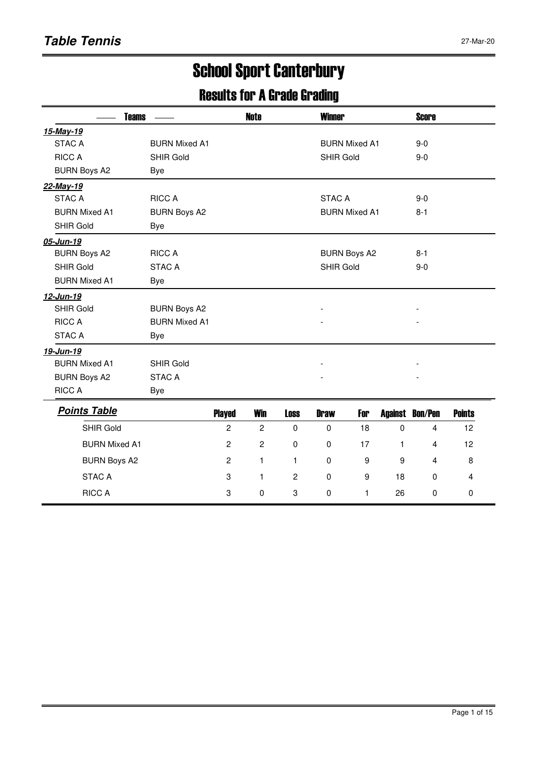# School Sport Canterbury

### Results for A Grade Grading

|                      | <b>Teams</b>         | <b>Note</b> | <b>Winner</b>               | <b>Score</b>              |
|----------------------|----------------------|-------------|-----------------------------|---------------------------|
| 15-May-19            |                      |             |                             |                           |
| <b>STAC A</b>        | <b>BURN Mixed A1</b> |             | <b>BURN Mixed A1</b>        | $9-0$                     |
| <b>RICC A</b>        | <b>SHIR Gold</b>     |             | <b>SHIR Gold</b>            | $9-0$                     |
| <b>BURN Boys A2</b>  | Bye                  |             |                             |                           |
| 22-May-19            |                      |             |                             |                           |
| STAC A               | <b>RICC A</b>        |             | STAC A                      | $9-0$                     |
| <b>BURN Mixed A1</b> | <b>BURN Boys A2</b>  |             | <b>BURN Mixed A1</b>        | $8 - 1$                   |
| <b>SHIR Gold</b>     | Bye                  |             |                             |                           |
| 05-Jun-19            |                      |             |                             |                           |
| <b>BURN Boys A2</b>  | <b>RICC A</b>        |             | <b>BURN Boys A2</b>         | $8 - 1$                   |
| <b>SHIR Gold</b>     | <b>STAC A</b>        |             | <b>SHIR Gold</b>            | $9-0$                     |
| <b>BURN Mixed A1</b> | Bye                  |             |                             |                           |
| 12-Jun-19            |                      |             |                             |                           |
| <b>SHIR Gold</b>     | <b>BURN Boys A2</b>  |             |                             |                           |
| <b>RICC A</b>        | <b>BURN Mixed A1</b> |             |                             |                           |
| <b>STAC A</b>        | Bye                  |             |                             |                           |
| 19-Jun-19            |                      |             |                             |                           |
| <b>BURN Mixed A1</b> | <b>SHIR Gold</b>     |             |                             |                           |
| <b>BURN Boys A2</b>  | <b>STAC A</b>        |             |                             |                           |
| <b>RICC A</b>        | Bye                  |             |                             |                           |
| <b>Points Table</b>  | <b>Diavod</b>        | Win         | <b>Loca</b><br>Dnour<br>ган | Neinte<br>Aaainat Dan/Dan |

| <b>Played</b> | <b>Win</b>     | <b>Loss</b>          | <b>Draw</b> | For |    |   | <b>Points</b>      |
|---------------|----------------|----------------------|-------------|-----|----|---|--------------------|
| 2             | $\overline{2}$ | 0                    | 0           | 18  | 0  | 4 | 12                 |
| 2             | 2              | 0                    | 0           | 17  |    | 4 | 12                 |
| 2             |                |                      | 0           | 9   | 9  | 4 | 8                  |
| 3             |                | $\mathbf{2}^{\circ}$ | 0           | 9   | 18 | 0 | 4                  |
| 3             | 0              | 3                    | 0           |     | 26 | 0 | 0                  |
|               |                |                      |             |     |    |   | Bon/Pen<br>Against |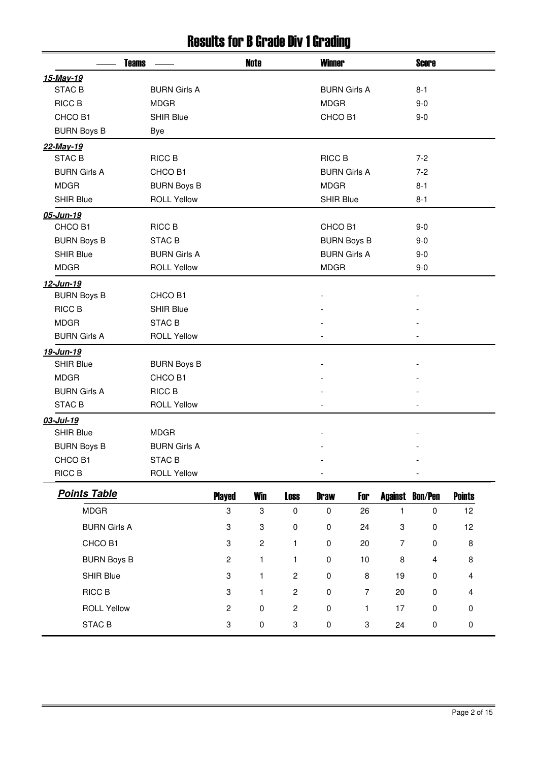#### Results for B Grade Div 1 Grading

| <b>Teams</b>        |                     |                | <b>Note</b>    |                  | <b>Winner</b>       |                     |                | <b>Score</b>           |               |
|---------------------|---------------------|----------------|----------------|------------------|---------------------|---------------------|----------------|------------------------|---------------|
| 15-May-19           |                     |                |                |                  |                     |                     |                |                        |               |
| STAC <sub>B</sub>   | <b>BURN Girls A</b> |                |                |                  | <b>BURN Girls A</b> |                     |                | $8 - 1$                |               |
| <b>RICC B</b>       | <b>MDGR</b>         |                |                |                  | <b>MDGR</b>         |                     |                | $9 - 0$                |               |
| CHCO B1             | <b>SHIR Blue</b>    |                |                |                  | CHCO B1             |                     |                | $9-0$                  |               |
| <b>BURN Boys B</b>  | <b>Bye</b>          |                |                |                  |                     |                     |                |                        |               |
| 22-May-19           |                     |                |                |                  |                     |                     |                |                        |               |
| STAC <sub>B</sub>   | RICC B              |                |                |                  | <b>RICC B</b>       |                     |                | $7 - 2$                |               |
| <b>BURN Girls A</b> | CHCO <sub>B1</sub>  |                |                |                  |                     | <b>BURN Girls A</b> |                | $7-2$                  |               |
| <b>MDGR</b>         | <b>BURN Boys B</b>  |                |                |                  | <b>MDGR</b>         |                     |                | $8 - 1$                |               |
| <b>SHIR Blue</b>    | <b>ROLL Yellow</b>  |                |                |                  | <b>SHIR Blue</b>    |                     |                | $8 - 1$                |               |
| 05-Jun-19           |                     |                |                |                  |                     |                     |                |                        |               |
| CHCO B1             | RICC B              |                |                |                  | CHCO B1             |                     |                | $9 - 0$                |               |
| <b>BURN Boys B</b>  | <b>STAC B</b>       |                |                |                  |                     | <b>BURN Boys B</b>  |                | $9-0$                  |               |
| <b>SHIR Blue</b>    | <b>BURN Girls A</b> |                |                |                  | <b>BURN Girls A</b> |                     |                | $9 - 0$                |               |
| <b>MDGR</b>         | <b>ROLL Yellow</b>  |                |                |                  | <b>MDGR</b>         |                     |                | $9-0$                  |               |
| 12-Jun-19           |                     |                |                |                  |                     |                     |                |                        |               |
| <b>BURN Boys B</b>  | CHCO B1             |                |                |                  |                     |                     |                |                        |               |
| RICC B              | <b>SHIR Blue</b>    |                |                |                  |                     |                     |                |                        |               |
| <b>MDGR</b>         | <b>STAC B</b>       |                |                |                  |                     |                     |                |                        |               |
| <b>BURN Girls A</b> | <b>ROLL Yellow</b>  |                |                |                  |                     |                     |                |                        |               |
| 19-Jun-19           |                     |                |                |                  |                     |                     |                |                        |               |
| <b>SHIR Blue</b>    | <b>BURN Boys B</b>  |                |                |                  |                     |                     |                |                        |               |
| <b>MDGR</b>         | CHCO B1             |                |                |                  |                     |                     |                |                        |               |
| <b>BURN Girls A</b> | RICC B              |                |                |                  |                     |                     |                |                        |               |
| STAC <sub>B</sub>   | <b>ROLL Yellow</b>  |                |                |                  |                     |                     |                |                        |               |
| 03-Jul-19           |                     |                |                |                  |                     |                     |                |                        |               |
| <b>SHIR Blue</b>    | <b>MDGR</b>         |                |                |                  |                     |                     |                |                        |               |
| <b>BURN Boys B</b>  | <b>BURN Girls A</b> |                |                |                  |                     |                     |                |                        |               |
| CHCO B1             | STAC B              |                |                |                  |                     |                     |                |                        |               |
| RICC B              | <b>ROLL Yellow</b>  |                |                |                  |                     |                     |                |                        |               |
| <b>Points Table</b> |                     | <b>Played</b>  | <b>Win</b>     | <b>Loss</b>      | <b>Draw</b>         | For                 |                | <b>Against Bon/Pen</b> | <b>Points</b> |
| <b>MDGR</b>         |                     | 3              | 3              | $\pmb{0}$        | $\pmb{0}$           | 26                  | 1              | $\pmb{0}$              | 12            |
| <b>BURN Girls A</b> |                     | 3              | 3              | $\pmb{0}$        | $\pmb{0}$           | 24                  | 3              | 0                      | 12            |
| CHCO B1             |                     | 3              | $\overline{c}$ | $\mathbf{1}$     | $\pmb{0}$           | 20                  | $\overline{7}$ | 0                      | 8             |
| <b>BURN Boys B</b>  |                     | $\overline{c}$ | 1              | $\mathbf{1}$     | $\pmb{0}$           | $10$                | 8              | 4                      | 8             |
| SHIR Blue           |                     | 3              | $\mathbf{1}$   | $\sqrt{2}$       | $\pmb{0}$           | $\, 8$              | 19             | 0                      | 4             |
| RICC B              |                     | 3              | $\mathbf{1}$   | $\sqrt{2}$       | $\pmb{0}$           | $\overline{7}$      | 20             | 0                      | 4             |
| <b>ROLL Yellow</b>  |                     | $\overline{c}$ | $\pmb{0}$      | $\boldsymbol{2}$ | $\pmb{0}$           | 1                   | 17             | 0                      | $\pmb{0}$     |
| STAC <sub>B</sub>   |                     | 3              | $\pmb{0}$      | 3                | $\pmb{0}$           | 3                   | 24             | $\pmb{0}$              | $\pmb{0}$     |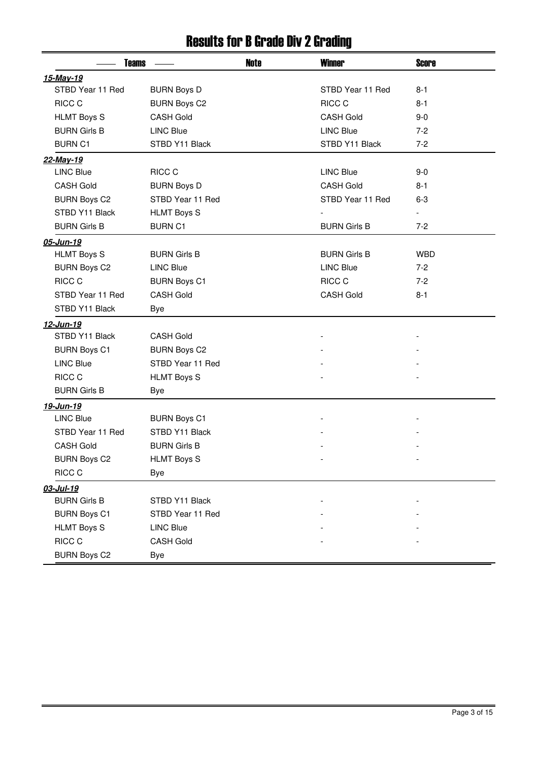#### Results for B Grade Div 2 Grading

|                     | <b>Note</b><br><b>Teams</b> |  | <b>Winner</b>       | <b>Score</b>             |
|---------------------|-----------------------------|--|---------------------|--------------------------|
| 15-May-19           |                             |  |                     |                          |
| STBD Year 11 Red    | <b>BURN Boys D</b>          |  | STBD Year 11 Red    | $8 - 1$                  |
| RICC C              | <b>BURN Boys C2</b>         |  | <b>RICC C</b>       | $8 - 1$                  |
| <b>HLMT Boys S</b>  | <b>CASH Gold</b>            |  | <b>CASH Gold</b>    | $9 - 0$                  |
| <b>BURN Girls B</b> | <b>LINC Blue</b>            |  | <b>LINC Blue</b>    | $7-2$                    |
| <b>BURN C1</b>      | STBD Y11 Black              |  | STBD Y11 Black      | $7 - 2$                  |
| 22-May-19           |                             |  |                     |                          |
| <b>LINC Blue</b>    | RICC C                      |  | <b>LINC Blue</b>    | $9-0$                    |
| <b>CASH Gold</b>    | <b>BURN Boys D</b>          |  | <b>CASH Gold</b>    | $8 - 1$                  |
| <b>BURN Boys C2</b> | STBD Year 11 Red            |  | STBD Year 11 Red    | $6 - 3$                  |
| STBD Y11 Black      | <b>HLMT Boys S</b>          |  |                     | $\overline{\phantom{a}}$ |
| <b>BURN Girls B</b> | <b>BURN C1</b>              |  | <b>BURN Girls B</b> | $7-2$                    |
| 05-Jun-19           |                             |  |                     |                          |
| <b>HLMT Boys S</b>  | <b>BURN Girls B</b>         |  | <b>BURN Girls B</b> | <b>WBD</b>               |
| <b>BURN Boys C2</b> | <b>LINC Blue</b>            |  | <b>LINC Blue</b>    | $7 - 2$                  |
| RICC C              | <b>BURN Boys C1</b>         |  | RICC C              | $7 - 2$                  |
| STBD Year 11 Red    | <b>CASH Gold</b>            |  | <b>CASH Gold</b>    | $8 - 1$                  |
| STBD Y11 Black      | Bye                         |  |                     |                          |
| 12-Jun-19           |                             |  |                     |                          |
| STBD Y11 Black      | <b>CASH Gold</b>            |  |                     |                          |
| <b>BURN Boys C1</b> | <b>BURN Boys C2</b>         |  |                     |                          |
| <b>LINC Blue</b>    | STBD Year 11 Red            |  |                     |                          |
| RICC C              | <b>HLMT Boys S</b>          |  |                     |                          |
| <b>BURN Girls B</b> | Bye                         |  |                     |                          |
| 19-Jun-19           |                             |  |                     |                          |
| <b>LINC Blue</b>    | <b>BURN Boys C1</b>         |  |                     |                          |
| STBD Year 11 Red    | STBD Y11 Black              |  |                     |                          |
| <b>CASH Gold</b>    | <b>BURN Girls B</b>         |  |                     |                          |
| <b>BURN Boys C2</b> | <b>HLMT Boys S</b>          |  |                     |                          |
| RICC C              | Bye                         |  |                     |                          |
| 03-Jul-19           |                             |  |                     |                          |
| <b>BURN Girls B</b> | STBD Y11 Black              |  |                     |                          |
| <b>BURN Boys C1</b> | STBD Year 11 Red            |  |                     |                          |
| <b>HLMT Boys S</b>  | <b>LINC Blue</b>            |  |                     |                          |
| RICC C              | <b>CASH Gold</b>            |  |                     |                          |
| <b>BURN Boys C2</b> | Bye                         |  |                     |                          |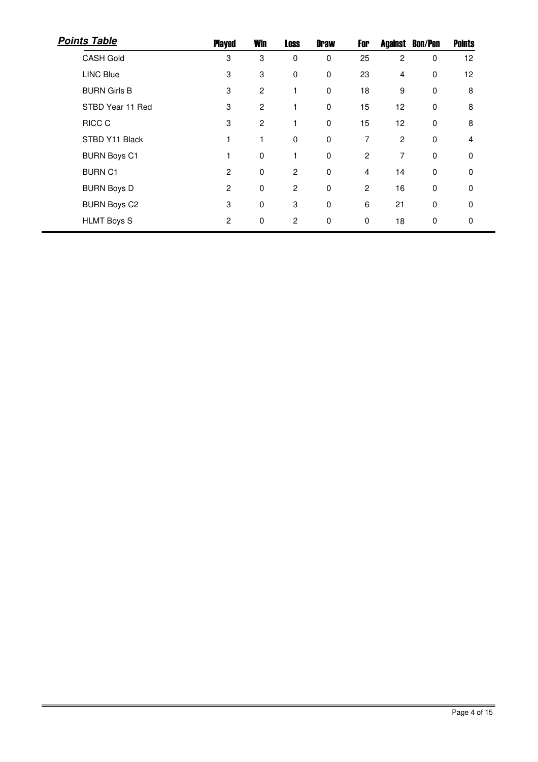| <b>Points Table</b> | <b>Played</b>  | <b>Win</b> | <b>Loss</b>    | <b>Draw</b> | For            |    | <b>Against Bon/Pen</b> | <b>Points</b> |
|---------------------|----------------|------------|----------------|-------------|----------------|----|------------------------|---------------|
| <b>CASH Gold</b>    | 3              | 3          | 0              | $\mathbf 0$ | 25             | 2  | 0                      | 12            |
| <b>LINC Blue</b>    | 3              | 3          | 0              | 0           | 23             | 4  | 0                      | 12            |
| <b>BURN Girls B</b> | 3              | 2          |                | $\mathbf 0$ | 18             | 9  | 0                      | 8             |
| STBD Year 11 Red    | 3              | 2          |                | $\mathbf 0$ | 15             | 12 | 0                      | 8             |
| <b>RICC C</b>       | 3              | 2          |                | $\mathbf 0$ | 15             | 12 | $\mathbf 0$            | 8             |
| STBD Y11 Black      | 1              | 1          | 0              | $\mathbf 0$ | 7              | 2  | $\mathbf 0$            | 4             |
| <b>BURN Boys C1</b> | 1              | 0          | 1              | $\mathbf 0$ | 2              | 7  | $\mathbf 0$            | $\Omega$      |
| <b>BURN C1</b>      | $\overline{2}$ | 0          | 2              | $\mathbf 0$ | $\overline{4}$ | 14 | $\mathbf 0$            | $\Omega$      |
| <b>BURN Boys D</b>  | $\overline{c}$ | 0          | $\overline{c}$ | $\mathbf 0$ | $\overline{c}$ | 16 | $\mathbf 0$            | $\Omega$      |
| <b>BURN Boys C2</b> | 3              | 0          | 3              | 0           | 6              | 21 | 0                      | 0             |
| <b>HLMT Boys S</b>  | $\overline{c}$ | 0          | 2              | 0           | 0              | 18 | 0                      | 0             |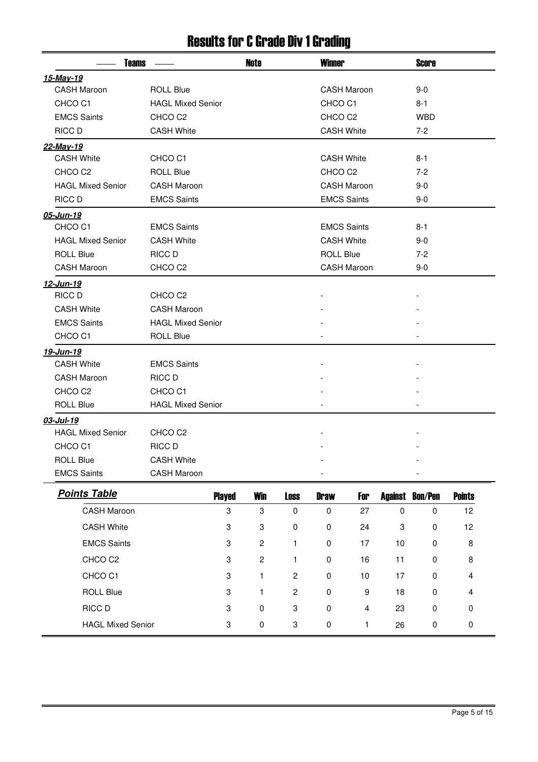#### Results for C Grade Div 1 Grading

| <b>Teams</b>             |                          |               | <b>Note</b>    |                | <b>Winner</b>      |                    |           | <b>Score</b>           |               |  |
|--------------------------|--------------------------|---------------|----------------|----------------|--------------------|--------------------|-----------|------------------------|---------------|--|
| 15-May-19                |                          |               |                |                |                    |                    |           |                        |               |  |
| <b>CASH Maroon</b>       | <b>ROLL Blue</b>         |               |                |                |                    | <b>CASH Maroon</b> |           | $9-0$                  |               |  |
| CHCO <sub>C1</sub>       | <b>HAGL Mixed Senior</b> |               |                |                | CHCO <sub>C1</sub> |                    |           | 8-1                    |               |  |
| <b>EMCS Saints</b>       | CHCO <sub>C2</sub>       |               |                |                | CHCO <sub>C2</sub> |                    |           | <b>WBD</b>             |               |  |
| RICC D                   | <b>CASH White</b>        |               |                |                | <b>CASH White</b>  |                    |           | $7-2$                  |               |  |
| 22-May-19                |                          |               |                |                |                    |                    |           |                        |               |  |
| <b>CASH White</b>        | CHCO <sub>C1</sub>       |               |                |                | <b>CASH White</b>  |                    |           | $8 - 1$                |               |  |
| CHCO <sub>C2</sub>       | <b>ROLL Blue</b>         |               |                |                | CHCO <sub>C2</sub> |                    |           | $7-2$                  |               |  |
| <b>HAGL Mixed Senior</b> | <b>CASH Maroon</b>       |               |                |                |                    | <b>CASH Maroon</b> |           | $9-0$                  |               |  |
| <b>RICC D</b>            | <b>EMCS Saints</b>       |               |                |                | <b>EMCS Saints</b> |                    |           | $9-0$                  |               |  |
| 05-Jun-19                |                          |               |                |                |                    |                    |           |                        |               |  |
| CHCO <sub>C1</sub>       | <b>EMCS Saints</b>       |               |                |                | <b>EMCS Saints</b> |                    |           | 8-1                    |               |  |
| <b>HAGL Mixed Senior</b> | <b>CASH White</b>        |               |                |                | <b>CASH White</b>  |                    |           | $9-0$                  |               |  |
| <b>ROLL Blue</b>         | RICC D                   |               |                |                | <b>ROLL Blue</b>   |                    |           | $7-2$                  |               |  |
| <b>CASH Maroon</b>       | CHCO <sub>C2</sub>       |               |                |                |                    | <b>CASH Maroon</b> |           | $9-0$                  |               |  |
| 12-Jun-19                |                          |               |                |                |                    |                    |           |                        |               |  |
| RICC D                   | CHCO <sub>C2</sub>       |               |                |                |                    |                    |           |                        |               |  |
| <b>CASH White</b>        | <b>CASH Maroon</b>       |               |                |                |                    |                    |           |                        |               |  |
| <b>EMCS Saints</b>       | <b>HAGL Mixed Senior</b> |               |                |                |                    |                    |           |                        |               |  |
| CHCO <sub>C1</sub>       | <b>ROLL Blue</b>         |               |                |                |                    |                    |           |                        |               |  |
| 19-Jun-19                |                          |               |                |                |                    |                    |           |                        |               |  |
| <b>CASH White</b>        | <b>EMCS Saints</b>       |               |                |                |                    |                    |           |                        |               |  |
| <b>CASH Maroon</b>       | RICC D                   |               |                |                |                    |                    |           |                        |               |  |
| CHCO <sub>C2</sub>       | CHCO <sub>C1</sub>       |               |                |                |                    |                    |           |                        |               |  |
| <b>ROLL Blue</b>         | <b>HAGL Mixed Senior</b> |               |                |                |                    |                    |           |                        |               |  |
| 03-Jul-19                |                          |               |                |                |                    |                    |           |                        |               |  |
| <b>HAGL Mixed Senior</b> | CHCO <sub>C2</sub>       |               |                |                |                    |                    |           |                        |               |  |
| CHCO <sub>C1</sub>       | RICC D                   |               |                |                |                    |                    |           |                        |               |  |
| <b>ROLL Blue</b>         | <b>CASH White</b>        |               |                |                |                    |                    |           |                        |               |  |
| <b>EMCS Saints</b>       | <b>CASH Maroon</b>       |               |                |                |                    |                    |           |                        |               |  |
| <b>Points Table</b>      |                          | <b>Played</b> | <b>Win</b>     | <b>Loss</b>    | <b>Draw</b>        | For                |           | <b>Against Bon/Pen</b> | <b>Points</b> |  |
| <b>CASH Maroon</b>       |                          | 3             | 3              | $\pmb{0}$      | $\pmb{0}$          | 27                 | $\pmb{0}$ | $\pmb{0}$              | 12            |  |
| <b>CASH White</b>        |                          | 3             | 3              | 0              | 0                  | 24                 | 3         | 0                      | 12            |  |
| <b>EMCS Saints</b>       |                          | 3             | $\overline{c}$ | 1              | 0                  | 17                 | 10        | 0                      | 8             |  |
| CHCO <sub>C2</sub>       |                          | 3             | $\overline{c}$ | 1              | 0                  | 16                 | 11        | 0                      | 8             |  |
| CHCO <sub>C1</sub>       |                          | 3             | 1              | $\overline{c}$ | 0                  | 10                 | 17        | 0                      | 4             |  |
| <b>ROLL Blue</b>         |                          | 3             | 1              | $\overline{c}$ | 0                  | 9                  | 18        | 0                      | 4             |  |
| RICC D                   |                          | 3             | 0              | 3              | 0                  | 4                  | 23        | 0                      | 0             |  |
| <b>HAGL Mixed Senior</b> |                          | 3             | $\pmb{0}$      | 3              | $\pmb{0}$          | 1                  | 26        | $\pmb{0}$              | 0             |  |
|                          |                          |               |                |                |                    |                    |           |                        |               |  |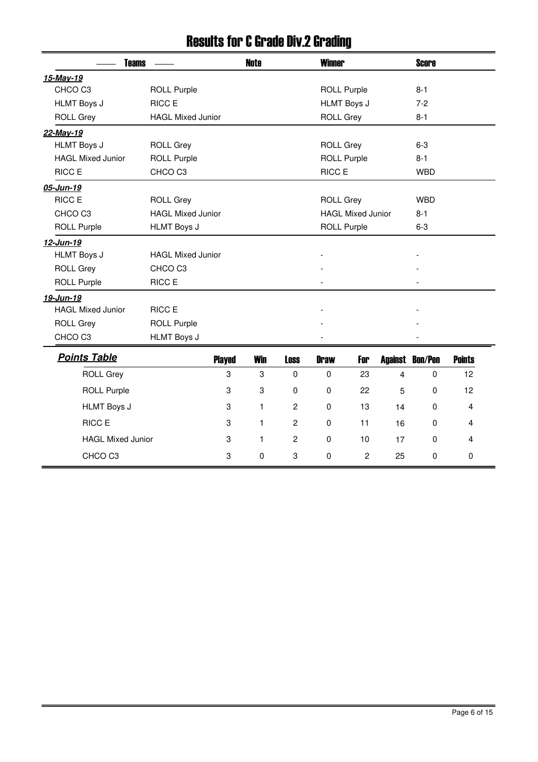#### Results for C Grade Div.2 Grading

| <b>Teams</b>             |                          |                  | <b>Note</b>      |                | <b>Winner</b>      |                          |    | <b>Score</b>           |               |
|--------------------------|--------------------------|------------------|------------------|----------------|--------------------|--------------------------|----|------------------------|---------------|
| 15-May-19                |                          |                  |                  |                |                    |                          |    |                        |               |
| CHCO <sub>C3</sub>       | <b>ROLL Purple</b>       |                  |                  |                | <b>ROLL Purple</b> |                          |    | $8 - 1$                |               |
| <b>HLMT Boys J</b>       | <b>RICC E</b>            |                  |                  |                | <b>HLMT Boys J</b> |                          |    | $7 - 2$                |               |
| <b>ROLL Grey</b>         | <b>HAGL Mixed Junior</b> |                  |                  |                | <b>ROLL Grey</b>   |                          |    | $8 - 1$                |               |
| 22-May-19                |                          |                  |                  |                |                    |                          |    |                        |               |
| <b>HLMT Boys J</b>       | <b>ROLL Grey</b>         |                  |                  |                | <b>ROLL Grey</b>   |                          |    | $6 - 3$                |               |
| <b>HAGL Mixed Junior</b> | <b>ROLL Purple</b>       |                  |                  |                | <b>ROLL Purple</b> |                          |    | $8 - 1$                |               |
| <b>RICC E</b>            | CHCO <sub>C3</sub>       |                  |                  |                | RICC E             |                          |    | <b>WBD</b>             |               |
| 05-Jun-19                |                          |                  |                  |                |                    |                          |    |                        |               |
| RICC E                   | <b>ROLL Grey</b>         |                  |                  |                | <b>ROLL Grey</b>   |                          |    | <b>WBD</b>             |               |
| CHCO <sub>C3</sub>       | <b>HAGL Mixed Junior</b> |                  |                  |                |                    | <b>HAGL Mixed Junior</b> |    | $8 - 1$                |               |
| <b>ROLL Purple</b>       | <b>HLMT Boys J</b>       |                  |                  |                | <b>ROLL Purple</b> |                          |    | $6 - 3$                |               |
| 12-Jun-19                |                          |                  |                  |                |                    |                          |    |                        |               |
| <b>HLMT Boys J</b>       | <b>HAGL Mixed Junior</b> |                  |                  |                |                    |                          |    |                        |               |
| <b>ROLL Grey</b>         | CHCO <sub>C3</sub>       |                  |                  |                |                    |                          |    |                        |               |
| <b>ROLL Purple</b>       | RICC E                   |                  |                  |                |                    |                          |    |                        |               |
| 19-Jun-19                |                          |                  |                  |                |                    |                          |    |                        |               |
| <b>HAGL Mixed Junior</b> | RICC E                   |                  |                  |                |                    |                          |    |                        |               |
| <b>ROLL Grey</b>         | <b>ROLL Purple</b>       |                  |                  |                |                    |                          |    |                        |               |
| CHCO <sub>C3</sub>       | <b>HLMT Boys J</b>       |                  |                  |                |                    |                          |    |                        |               |
| <b>Points Table</b>      |                          | <b>Played</b>    | <b>Win</b>       | <b>Loss</b>    | <b>Draw</b>        | For                      |    | <b>Against Bon/Pen</b> | <b>Points</b> |
| <b>ROLL Grey</b>         |                          | 3                | $\boldsymbol{3}$ | $\mathbf 0$    | $\mathbf 0$        | 23                       | 4  | 0                      | 12            |
| <b>ROLL Purple</b>       |                          | $\boldsymbol{3}$ | 3                | $\mathbf 0$    | $\mathbf 0$        | 22                       | 5  | $\mathbf 0$            | 12            |
| <b>HLMT Boys J</b>       |                          | $\boldsymbol{3}$ | $\mathbf{1}$     | $\overline{c}$ | $\pmb{0}$          | 13                       | 14 | 0                      | 4             |
| <b>RICC E</b>            |                          | 3                | $\mathbf{1}$     | $\overline{c}$ | $\mathbf 0$        | 11                       | 16 | $\Omega$               | 4             |
|                          |                          |                  |                  |                |                    |                          |    |                        |               |
| <b>HAGL Mixed Junior</b> |                          | 3                | $\mathbf{1}$     | $\overline{c}$ | $\mathbf 0$        | 10                       | 17 | $\mathbf 0$            | 4             |
| CHCO <sub>C3</sub>       |                          | 3                | $\mathbf 0$      | 3              | 0                  | $\overline{c}$           | 25 | 0                      | 0             |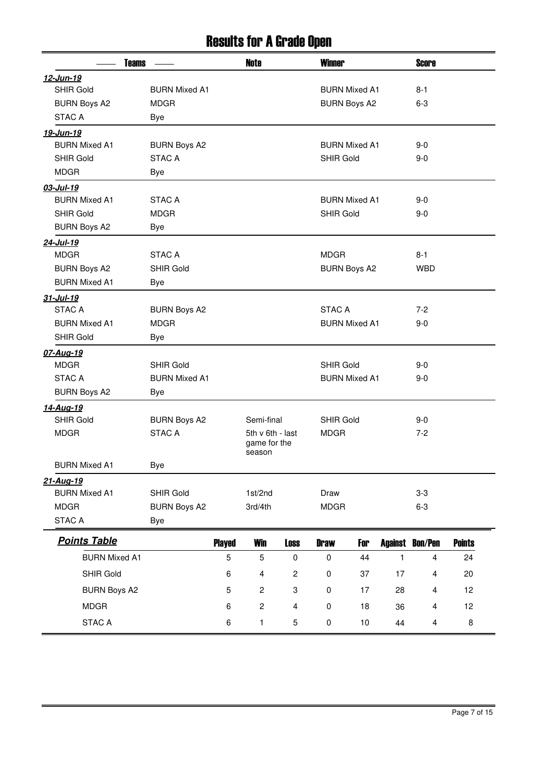#### Results for A Grade Open

|                      | <b>Teams</b>         |               | Note                   |                           | <b>Winner</b>    |                      |              | <b>Score</b>           |               |  |
|----------------------|----------------------|---------------|------------------------|---------------------------|------------------|----------------------|--------------|------------------------|---------------|--|
| 12-Jun-19            |                      |               |                        |                           |                  |                      |              |                        |               |  |
| <b>SHIR Gold</b>     | <b>BURN Mixed A1</b> |               |                        |                           |                  | <b>BURN Mixed A1</b> |              | $8 - 1$                |               |  |
| <b>BURN Boys A2</b>  | <b>MDGR</b>          |               |                        |                           |                  | <b>BURN Boys A2</b>  |              | $6-3$                  |               |  |
| <b>STAC A</b>        | Bye                  |               |                        |                           |                  |                      |              |                        |               |  |
| 19-Jun-19            |                      |               |                        |                           |                  |                      |              |                        |               |  |
| <b>BURN Mixed A1</b> | <b>BURN Boys A2</b>  |               |                        |                           |                  | <b>BURN Mixed A1</b> |              | $9 - 0$                |               |  |
| <b>SHIR Gold</b>     | <b>STAC A</b>        |               |                        |                           | <b>SHIR Gold</b> |                      |              | $9 - 0$                |               |  |
| <b>MDGR</b>          | Bye                  |               |                        |                           |                  |                      |              |                        |               |  |
| 03-Jul-19            |                      |               |                        |                           |                  |                      |              |                        |               |  |
| <b>BURN Mixed A1</b> | <b>STAC A</b>        |               |                        |                           |                  | <b>BURN Mixed A1</b> |              | $9 - 0$                |               |  |
| <b>SHIR Gold</b>     | <b>MDGR</b>          |               |                        |                           | <b>SHIR Gold</b> |                      |              | $9 - 0$                |               |  |
| <b>BURN Boys A2</b>  | Bye                  |               |                        |                           |                  |                      |              |                        |               |  |
| 24-Jul-19            |                      |               |                        |                           |                  |                      |              |                        |               |  |
| <b>MDGR</b>          | <b>STAC A</b>        |               |                        |                           | <b>MDGR</b>      |                      |              | $8 - 1$                |               |  |
| <b>BURN Boys A2</b>  | <b>SHIR Gold</b>     |               |                        |                           |                  | <b>BURN Boys A2</b>  |              | <b>WBD</b>             |               |  |
| <b>BURN Mixed A1</b> | Bye                  |               |                        |                           |                  |                      |              |                        |               |  |
| 31-Jul-19            |                      |               |                        |                           |                  |                      |              |                        |               |  |
| <b>STAC A</b>        | <b>BURN Boys A2</b>  |               |                        |                           | <b>STAC A</b>    |                      |              | $7-2$                  |               |  |
| <b>BURN Mixed A1</b> | <b>MDGR</b>          |               |                        |                           |                  | <b>BURN Mixed A1</b> |              | $9 - 0$                |               |  |
| <b>SHIR Gold</b>     | Bye                  |               |                        |                           |                  |                      |              |                        |               |  |
| 07-Aug-19            |                      |               |                        |                           |                  |                      |              |                        |               |  |
| <b>MDGR</b>          | <b>SHIR Gold</b>     |               |                        |                           | <b>SHIR Gold</b> |                      |              | $9 - 0$                |               |  |
| <b>STAC A</b>        | <b>BURN Mixed A1</b> |               |                        |                           |                  | <b>BURN Mixed A1</b> |              | $9 - 0$                |               |  |
| <b>BURN Boys A2</b>  | Bye                  |               |                        |                           |                  |                      |              |                        |               |  |
| 14-Aug-19            |                      |               |                        |                           |                  |                      |              |                        |               |  |
| <b>SHIR Gold</b>     | <b>BURN Boys A2</b>  |               | Semi-final             |                           | <b>SHIR Gold</b> |                      |              | $9 - 0$                |               |  |
| <b>MDGR</b>          | <b>STAC A</b>        |               | 5th v 6th - last       |                           | <b>MDGR</b>      |                      |              | $7 - 2$                |               |  |
|                      |                      |               | game for the<br>season |                           |                  |                      |              |                        |               |  |
| <b>BURN Mixed A1</b> | <b>Bye</b>           |               |                        |                           |                  |                      |              |                        |               |  |
| 21-Aug-19            |                      |               |                        |                           |                  |                      |              |                        |               |  |
| <b>BURN Mixed A1</b> | <b>SHIR Gold</b>     |               | 1st/2nd                |                           | Draw             |                      |              | $3-3$                  |               |  |
| <b>MDGR</b>          | <b>BURN Boys A2</b>  |               | 3rd/4th                |                           | <b>MDGR</b>      |                      |              | $6 - 3$                |               |  |
| <b>STAC A</b>        | <b>Bye</b>           |               |                        |                           |                  |                      |              |                        |               |  |
| <b>Points Table</b>  |                      | <b>Played</b> | <b>Win</b>             | <b>Loss</b>               | <b>Draw</b>      | For                  |              | <b>Against Bon/Pen</b> | <b>Points</b> |  |
| <b>BURN Mixed A1</b> |                      | 5             | 5                      | $\pmb{0}$                 | $\pmb{0}$        | 44                   | $\mathbf{1}$ | 4                      | 24            |  |
|                      |                      |               |                        |                           |                  |                      |              |                        |               |  |
| SHIR Gold            |                      | 6             | 4                      | $\sqrt{2}$                | $\mathbf 0$      | 37                   | 17           | 4                      | 20            |  |
| <b>BURN Boys A2</b>  |                      | 5             | $\overline{c}$         | $\ensuremath{\mathsf{3}}$ | $\pmb{0}$        | 17                   | 28           | 4                      | 12            |  |
| <b>MDGR</b>          |                      | 6             | $\overline{c}$         | $\overline{\mathbf{4}}$   | $\pmb{0}$        | 18                   | 36           | 4                      | 12            |  |
| STAC A               |                      | 6             | $\mathbf{1}$           | 5                         | $\pmb{0}$        | 10                   | 44           | 4                      | 8             |  |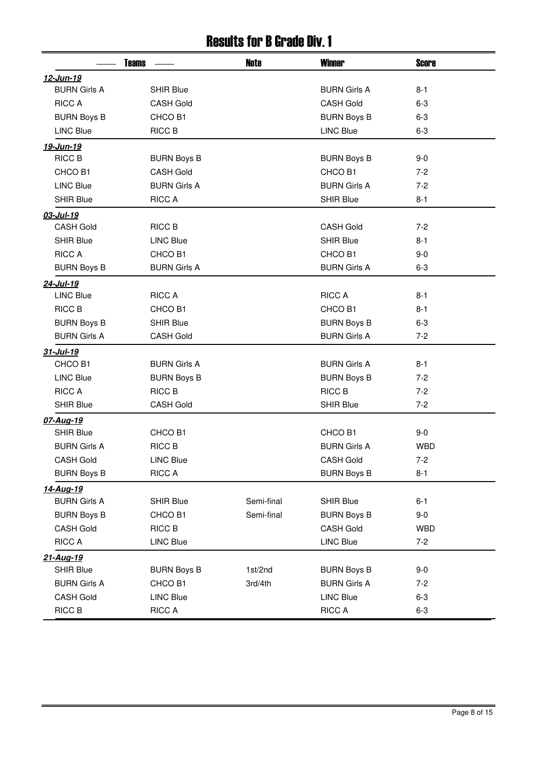#### Results for B Grade Div. 1

|                     | <b>Teams</b>        | Note       | <b>Winner</b>       | <b>Score</b> |
|---------------------|---------------------|------------|---------------------|--------------|
| 12-Jun-19           |                     |            |                     |              |
| <b>BURN Girls A</b> | <b>SHIR Blue</b>    |            | <b>BURN Girls A</b> | $8 - 1$      |
| <b>RICC A</b>       | <b>CASH Gold</b>    |            | <b>CASH Gold</b>    | $6-3$        |
| <b>BURN Boys B</b>  | CHCO B1             |            | <b>BURN Boys B</b>  | $6 - 3$      |
| <b>LINC Blue</b>    | RICC B              |            | <b>LINC Blue</b>    | $6 - 3$      |
| 19-Jun-19           |                     |            |                     |              |
| RICC B              | <b>BURN Boys B</b>  |            | <b>BURN Boys B</b>  | $9-0$        |
| CHCO B1             | <b>CASH Gold</b>    |            | CHCO B1             | $7-2$        |
| <b>LINC Blue</b>    | <b>BURN Girls A</b> |            | <b>BURN Girls A</b> | $7-2$        |
| <b>SHIR Blue</b>    | <b>RICC A</b>       |            | <b>SHIR Blue</b>    | $8 - 1$      |
| 03-Jul-19           |                     |            |                     |              |
| <b>CASH Gold</b>    | RICC B              |            | <b>CASH Gold</b>    | $7 - 2$      |
| <b>SHIR Blue</b>    | <b>LINC Blue</b>    |            | <b>SHIR Blue</b>    | $8 - 1$      |
| <b>RICC A</b>       | CHCO B1             |            | CHCO B1             | $9 - 0$      |
| <b>BURN Boys B</b>  | <b>BURN Girls A</b> |            | <b>BURN Girls A</b> | $6 - 3$      |
| 24-Jul-19           |                     |            |                     |              |
| <b>LINC Blue</b>    | <b>RICC A</b>       |            | <b>RICC A</b>       | $8 - 1$      |
| <b>RICC B</b>       | CHCO B1             |            | CHCO B1             | $8 - 1$      |
| <b>BURN Boys B</b>  | <b>SHIR Blue</b>    |            | <b>BURN Boys B</b>  | $6 - 3$      |
| <b>BURN Girls A</b> | <b>CASH Gold</b>    |            | <b>BURN Girls A</b> | $7-2$        |
| 31-Jul-19           |                     |            |                     |              |
| CHCO B1             | <b>BURN Girls A</b> |            | <b>BURN Girls A</b> | $8 - 1$      |
| <b>LINC Blue</b>    | <b>BURN Boys B</b>  |            | <b>BURN Boys B</b>  | $7 - 2$      |
| <b>RICC A</b>       | RICC B              |            | <b>RICC B</b>       | $7 - 2$      |
| <b>SHIR Blue</b>    | <b>CASH Gold</b>    |            | <b>SHIR Blue</b>    | $7-2$        |
| 07-Aug-19           |                     |            |                     |              |
| <b>SHIR Blue</b>    | CHCO B1             |            | CHCO B1             | $9-0$        |
| <b>BURN Girls A</b> | <b>RICC B</b>       |            | <b>BURN Girls A</b> | <b>WBD</b>   |
| CASH Gold           | <b>LINC Blue</b>    |            | <b>CASH Gold</b>    | $7-2$        |
| <b>BURN Boys B</b>  | <b>RICC A</b>       |            | <b>BURN Boys B</b>  | $8 - 1$      |
| <u>14-Aug-19</u>    |                     |            |                     |              |
| <b>BURN Girls A</b> | <b>SHIR Blue</b>    | Semi-final | <b>SHIR Blue</b>    | $6 - 1$      |
| <b>BURN Boys B</b>  | CHCO B1             | Semi-final | <b>BURN Boys B</b>  | $9-0$        |
| <b>CASH Gold</b>    | RICC B              |            | <b>CASH Gold</b>    | <b>WBD</b>   |
| <b>RICC A</b>       | <b>LINC Blue</b>    |            | <b>LINC Blue</b>    | $7-2$        |
| 21-Aug-19           |                     |            |                     |              |
| <b>SHIR Blue</b>    | <b>BURN Boys B</b>  | 1st/2nd    | <b>BURN Boys B</b>  | $9-0$        |
| <b>BURN Girls A</b> | CHCO B1             | 3rd/4th    | <b>BURN Girls A</b> | $7 - 2$      |
| <b>CASH Gold</b>    | <b>LINC Blue</b>    |            | <b>LINC Blue</b>    | $6 - 3$      |
| RICC B              | <b>RICC A</b>       |            | <b>RICC A</b>       | $6 - 3$      |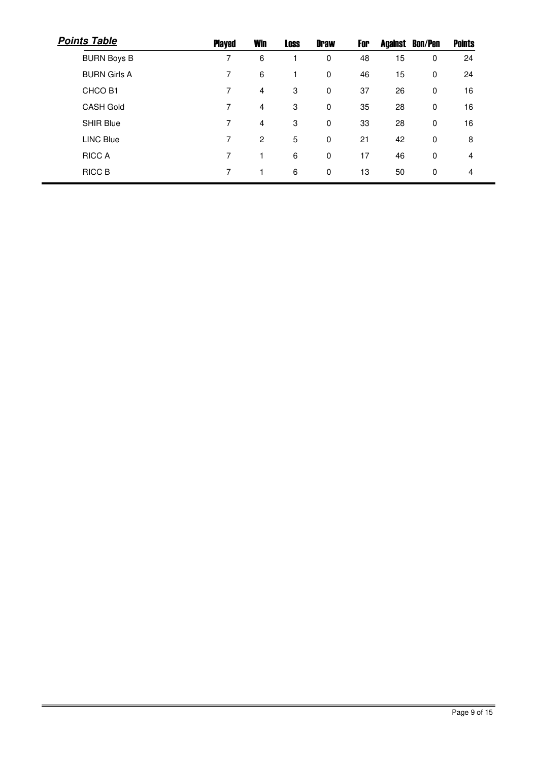| <b>Points Table</b> | <b>Played</b> | <b>Win</b>     | <b>Loss</b> | <b>Draw</b> | For |    | <b>Against Bon/Pen</b> | <b>Points</b> |
|---------------------|---------------|----------------|-------------|-------------|-----|----|------------------------|---------------|
| <b>BURN Boys B</b>  | 7             | 6              | 1           | $\mathbf 0$ | 48  | 15 | 0                      | 24            |
| <b>BURN Girls A</b> | 7             | 6              | 1           | $\mathbf 0$ | 46  | 15 | $\mathbf 0$            | 24            |
| CHCO B1             | 7             | $\overline{4}$ | 3           | $\mathbf 0$ | 37  | 26 | $\mathbf 0$            | 16            |
| <b>CASH Gold</b>    | 7             | $\overline{4}$ | 3           | $\mathbf 0$ | 35  | 28 | $\mathbf 0$            | 16            |
| SHIR Blue           | 7             | $\overline{4}$ | 3           | $\mathbf 0$ | 33  | 28 | $\mathbf 0$            | 16            |
| <b>LINC Blue</b>    | 7             | $\overline{2}$ | 5           | 0           | 21  | 42 | $\mathbf 0$            | 8             |
| <b>RICC A</b>       | 7             |                | 6           | $\mathbf 0$ | 17  | 46 | $\mathbf 0$            | 4             |
| RICC B              | 7             |                | 6           | $\mathbf 0$ | 13  | 50 | $\mathbf 0$            | 4             |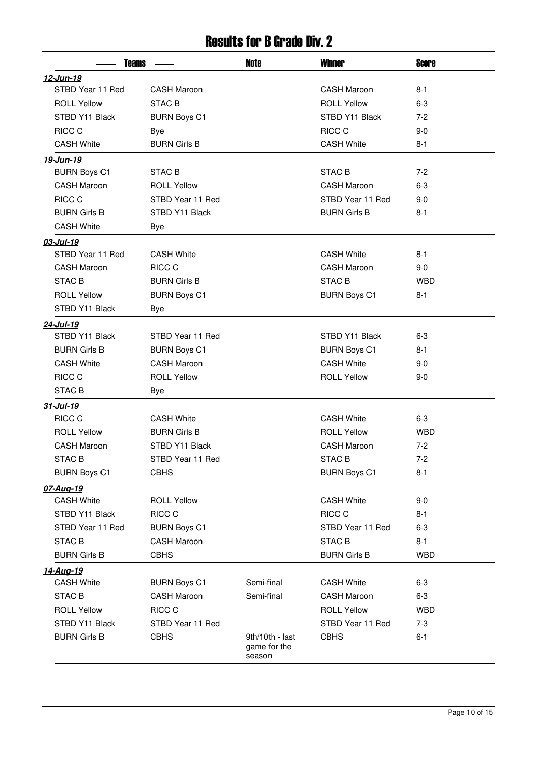## Results for B Grade Div. 2

|                     | <b>Teams</b>        |                                           | <b>Winner</b>       | <b>Score</b> |
|---------------------|---------------------|-------------------------------------------|---------------------|--------------|
| 12-Jun-19           |                     |                                           |                     |              |
| STBD Year 11 Red    | <b>CASH Maroon</b>  |                                           | <b>CASH Maroon</b>  | $8 - 1$      |
| <b>ROLL Yellow</b>  | <b>STAC B</b>       |                                           | <b>ROLL Yellow</b>  | $6 - 3$      |
| STBD Y11 Black      | <b>BURN Boys C1</b> |                                           | STBD Y11 Black      | $7-2$        |
| RICC C              | <b>Bye</b>          |                                           | RICC C              | $9-0$        |
| <b>CASH White</b>   | <b>BURN Girls B</b> |                                           | <b>CASH White</b>   | $8 - 1$      |
| 19-Jun-19           |                     |                                           |                     |              |
| <b>BURN Boys C1</b> | STAC B              |                                           | STAC B              | $7-2$        |
| <b>CASH Maroon</b>  | <b>ROLL Yellow</b>  |                                           | <b>CASH Maroon</b>  | $6 - 3$      |
| RICC C              | STBD Year 11 Red    |                                           | STBD Year 11 Red    | $9-0$        |
| <b>BURN Girls B</b> | STBD Y11 Black      |                                           | <b>BURN Girls B</b> | $8 - 1$      |
| <b>CASH White</b>   | Bye                 |                                           |                     |              |
| 03-Jul-19           |                     |                                           |                     |              |
| STBD Year 11 Red    | <b>CASH White</b>   |                                           | <b>CASH White</b>   | $8 - 1$      |
| <b>CASH Maroon</b>  | RICC C              |                                           | <b>CASH Maroon</b>  | $9-0$        |
| <b>STAC B</b>       | <b>BURN Girls B</b> |                                           | STAC <sub>B</sub>   | <b>WBD</b>   |
| <b>ROLL Yellow</b>  | <b>BURN Boys C1</b> |                                           | <b>BURN Boys C1</b> | $8 - 1$      |
| STBD Y11 Black      | Bye                 |                                           |                     |              |
| 24-Jul-19           |                     |                                           |                     |              |
| STBD Y11 Black      | STBD Year 11 Red    |                                           | STBD Y11 Black      | $6 - 3$      |
| <b>BURN Girls B</b> | <b>BURN Boys C1</b> |                                           | <b>BURN Boys C1</b> | $8 - 1$      |
| <b>CASH White</b>   | <b>CASH Maroon</b>  |                                           | <b>CASH White</b>   | 9-0          |
| RICC C              | <b>ROLL Yellow</b>  |                                           | <b>ROLL Yellow</b>  | $9 - 0$      |
| <b>STAC B</b>       | Bye                 |                                           |                     |              |
| 31-Jul-19           |                     |                                           |                     |              |
| RICC C              | <b>CASH White</b>   |                                           | <b>CASH White</b>   | $6 - 3$      |
| <b>ROLL Yellow</b>  | <b>BURN Girls B</b> |                                           | <b>ROLL Yellow</b>  | <b>WBD</b>   |
| <b>CASH Maroon</b>  | STBD Y11 Black      |                                           | <b>CASH Maroon</b>  | $7-2$        |
| STAC B              | STBD Year 11 Red    |                                           | STAC B              | $7 - 2$      |
| <b>BURN Boys C1</b> | <b>CBHS</b>         |                                           | <b>BURN Boys C1</b> | $8 - 1$      |
| 07-Aug-19           |                     |                                           |                     |              |
| <b>CASH White</b>   | <b>ROLL Yellow</b>  |                                           | <b>CASH White</b>   | $9-0$        |
| STBD Y11 Black      | RICC C              |                                           | RICC C              | 8-1          |
| STBD Year 11 Red    | <b>BURN Boys C1</b> |                                           | STBD Year 11 Red    | $6 - 3$      |
| <b>STAC B</b>       | <b>CASH Maroon</b>  |                                           | STAC B              | $8 - 1$      |
| <b>BURN Girls B</b> | <b>CBHS</b>         |                                           | <b>BURN Girls B</b> | <b>WBD</b>   |
| <u>14-Aug-19</u>    |                     |                                           |                     |              |
| <b>CASH White</b>   | <b>BURN Boys C1</b> | Semi-final                                | <b>CASH White</b>   | $6 - 3$      |
| <b>STAC B</b>       | <b>CASH Maroon</b>  | Semi-final                                | <b>CASH Maroon</b>  | $6-3$        |
| <b>ROLL Yellow</b>  | RICC C              |                                           | <b>ROLL Yellow</b>  | <b>WBD</b>   |
| STBD Y11 Black      | STBD Year 11 Red    |                                           | STBD Year 11 Red    | $7-3$        |
| <b>BURN Girls B</b> | <b>CBHS</b>         | 9th/10th - last<br>game for the<br>season | <b>CBHS</b>         | $6 - 1$      |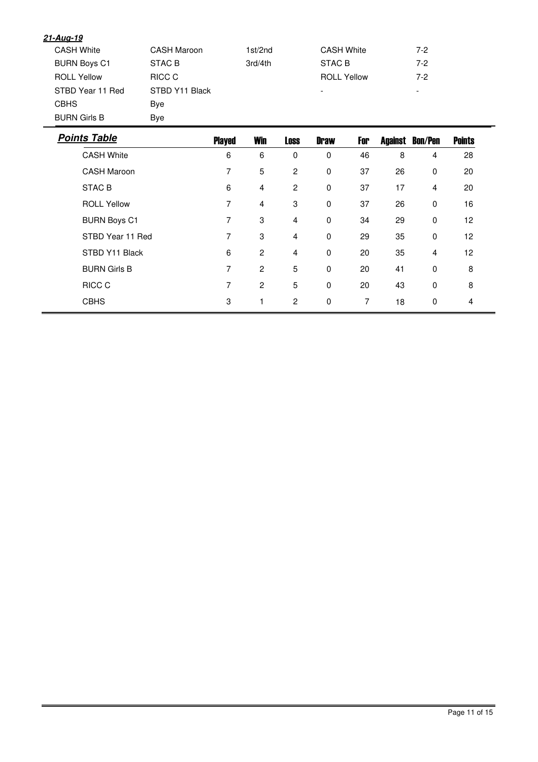| <b>Points Table</b> | <b>Played</b>  | <b>Win</b> | <b>Loss</b> | <b>Draw</b><br>For       | <b>Bon/Pen</b><br><b>Against</b> | <b>Points</b> |
|---------------------|----------------|------------|-------------|--------------------------|----------------------------------|---------------|
| <b>BURN Girls B</b> | Bye            |            |             |                          |                                  |               |
| <b>CBHS</b>         | Bye            |            |             |                          |                                  |               |
| STBD Year 11 Red    | STBD Y11 Black |            |             | $\overline{\phantom{a}}$ | $\overline{\phantom{0}}$         |               |
| <b>ROLL Yellow</b>  | RICC C         |            |             | <b>ROLL Yellow</b>       | $7-2$                            |               |
| <b>BURN Boys C1</b> | STAC B         | 3rd/4th    |             | STAC B                   | $7-2$                            |               |
| <b>CASH White</b>   | CASH Maroon    | 1st/2nd    |             | <b>CASH White</b>        | $7-2$                            |               |
| <u>21-Aug-19</u>    |                |            |             |                          |                                  |               |

| <b>CASH White</b>   | 6 | 6              | 0              | $\Omega$    | 46 | 8  | 4           | 28              |  |
|---------------------|---|----------------|----------------|-------------|----|----|-------------|-----------------|--|
| <b>CASH Maroon</b>  | 7 | 5              | 2              | $\mathbf 0$ | 37 | 26 | $\mathbf 0$ | 20              |  |
| <b>STAC B</b>       | 6 | $\overline{4}$ | 2              | 0           | 37 | 17 | 4           | 20              |  |
| <b>ROLL Yellow</b>  | 7 | $\overline{4}$ | 3              | $\mathbf 0$ | 37 | 26 | $\Omega$    | 16              |  |
| <b>BURN Boys C1</b> | 7 | 3              | 4              | 0           | 34 | 29 | $\Omega$    | 12 <sup>2</sup> |  |
| STBD Year 11 Red    | 7 | 3              | $\overline{4}$ | $\mathbf 0$ | 29 | 35 | $\mathbf 0$ | 12              |  |
| STBD Y11 Black      | 6 | $\overline{2}$ | 4              | $\mathbf 0$ | 20 | 35 | 4           | 12 <sup>2</sup> |  |
| <b>BURN Girls B</b> | 7 | $\overline{2}$ | 5              | $\mathbf 0$ | 20 | 41 | $\Omega$    | 8               |  |
| RICC C              | 7 | $\overline{2}$ | 5              | $\mathbf 0$ | 20 | 43 | $\Omega$    | 8               |  |
| <b>CBHS</b>         | 3 |                | $\overline{2}$ | $\mathbf 0$ | 7  | 18 | 0           | 4               |  |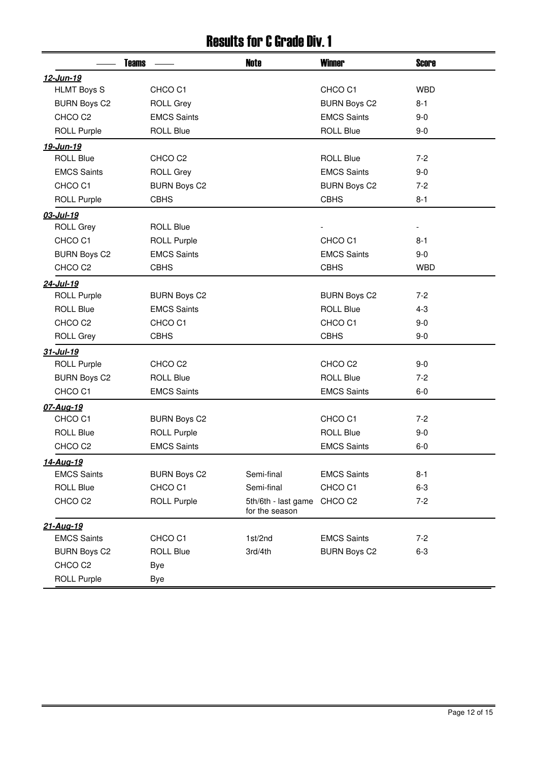#### Results for C Grade Div. 1

|                     | <b>Teams</b>        | <b>Note</b>                           | <b>Winner</b>       | <b>Score</b> |
|---------------------|---------------------|---------------------------------------|---------------------|--------------|
| 12-Jun-19           |                     |                                       |                     |              |
| <b>HLMT Boys S</b>  | CHCO <sub>C1</sub>  |                                       | CHCO C1             | <b>WBD</b>   |
| <b>BURN Boys C2</b> | <b>ROLL Grey</b>    |                                       | <b>BURN Boys C2</b> | $8 - 1$      |
| CHCO <sub>C2</sub>  | <b>EMCS Saints</b>  |                                       | <b>EMCS Saints</b>  | $9 - 0$      |
| <b>ROLL Purple</b>  | <b>ROLL Blue</b>    |                                       | <b>ROLL Blue</b>    | $9-0$        |
| 19-Jun-19           |                     |                                       |                     |              |
| <b>ROLL Blue</b>    | CHCO <sub>C2</sub>  |                                       | <b>ROLL Blue</b>    | $7-2$        |
| <b>EMCS Saints</b>  | <b>ROLL Grey</b>    |                                       | <b>EMCS Saints</b>  | $9 - 0$      |
| CHCO <sub>C1</sub>  | <b>BURN Boys C2</b> |                                       | <b>BURN Boys C2</b> | $7-2$        |
| <b>ROLL Purple</b>  | <b>CBHS</b>         |                                       | <b>CBHS</b>         | $8 - 1$      |
| 03-Jul-19           |                     |                                       |                     |              |
| <b>ROLL Grey</b>    | <b>ROLL Blue</b>    |                                       |                     |              |
| CHCO <sub>C1</sub>  | <b>ROLL Purple</b>  |                                       | CHCO <sub>C1</sub>  | $8 - 1$      |
| <b>BURN Boys C2</b> | <b>EMCS Saints</b>  |                                       | <b>EMCS Saints</b>  | $9 - 0$      |
| CHCO <sub>C2</sub>  | <b>CBHS</b>         |                                       | <b>CBHS</b>         | <b>WBD</b>   |
| 24-Jul-19           |                     |                                       |                     |              |
| <b>ROLL Purple</b>  | <b>BURN Boys C2</b> |                                       | <b>BURN Boys C2</b> | $7-2$        |
| <b>ROLL Blue</b>    | <b>EMCS Saints</b>  |                                       | <b>ROLL Blue</b>    | $4 - 3$      |
| CHCO <sub>C2</sub>  | CHCO <sub>C1</sub>  |                                       | CHCO <sub>C1</sub>  | $9-0$        |
| <b>ROLL Grey</b>    | <b>CBHS</b>         |                                       | <b>CBHS</b>         | $9-0$        |
| 31-Jul-19           |                     |                                       |                     |              |
| <b>ROLL Purple</b>  | CHCO <sub>C2</sub>  |                                       | CHCO <sub>C2</sub>  | $9 - 0$      |
| <b>BURN Boys C2</b> | <b>ROLL Blue</b>    |                                       | <b>ROLL Blue</b>    | $7-2$        |
| CHCO <sub>C1</sub>  | <b>EMCS Saints</b>  |                                       | <b>EMCS Saints</b>  | $6-0$        |
| 07-Aug-19           |                     |                                       |                     |              |
| CHCO <sub>C1</sub>  | <b>BURN Boys C2</b> |                                       | CHCO <sub>C1</sub>  | $7-2$        |
| <b>ROLL Blue</b>    | <b>ROLL Purple</b>  |                                       | <b>ROLL Blue</b>    | $9-0$        |
| CHCO <sub>C2</sub>  | <b>EMCS Saints</b>  |                                       | <b>EMCS Saints</b>  | $6-0$        |
| 14-Aug-19           |                     |                                       |                     |              |
| <b>EMCS Saints</b>  | <b>BURN Boys C2</b> | Semi-final                            | <b>EMCS Saints</b>  | $8 - 1$      |
| <b>ROLL Blue</b>    | CHCO <sub>C1</sub>  | Semi-final                            | CHCO <sub>C1</sub>  | $6 - 3$      |
| CHCO <sub>C2</sub>  | <b>ROLL Purple</b>  | 5th/6th - last game<br>for the season | CHCO <sub>C2</sub>  | $7 - 2$      |
| 21-Aug-19           |                     |                                       |                     |              |
| <b>EMCS Saints</b>  | CHCO <sub>C1</sub>  | 1st/2nd                               | <b>EMCS Saints</b>  | $7-2$        |
| <b>BURN Boys C2</b> | <b>ROLL Blue</b>    | 3rd/4th                               | <b>BURN Boys C2</b> | $6 - 3$      |
| CHCO <sub>C2</sub>  | <b>Bye</b>          |                                       |                     |              |
| <b>ROLL Purple</b>  | Bye                 |                                       |                     |              |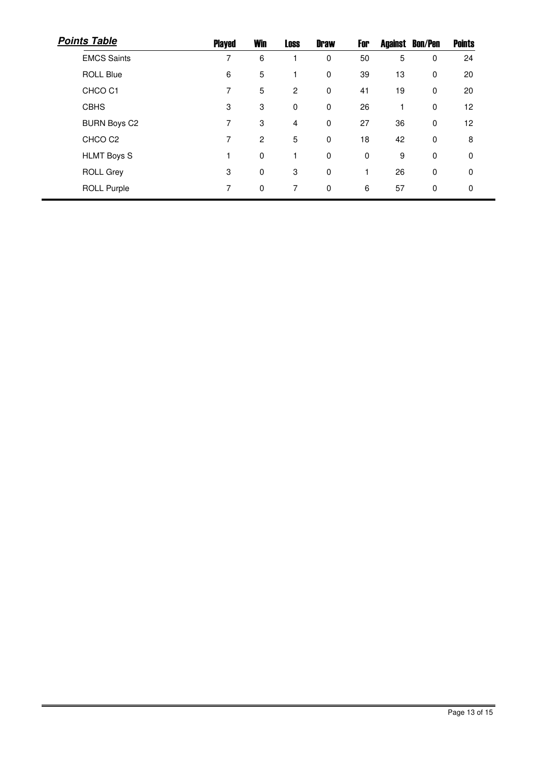| <b>Points Table</b> | Played | <b>Win</b>       | <b>Loss</b>    | <b>Draw</b> | For | Against | <b>Bon/Pen</b> | <b>Points</b> |
|---------------------|--------|------------------|----------------|-------------|-----|---------|----------------|---------------|
| <b>EMCS Saints</b>  | 7      | 6                |                | 0           | 50  | 5       | 0              | 24            |
| <b>ROLL Blue</b>    | 6      | 5                |                | 0           | 39  | 13      | $\mathbf 0$    | 20            |
| CHCO <sub>C1</sub>  | 7      | 5                | $\overline{c}$ | 0           | 41  | 19      | $\mathbf 0$    | 20            |
| <b>CBHS</b>         | 3      | $\boldsymbol{3}$ | 0              | 0           | 26  |         | 0              | 12            |
| <b>BURN Boys C2</b> | 7      | 3                | 4              | $\mathbf 0$ | 27  | 36      | 0              | 12            |
| CHCO <sub>C2</sub>  | 7      | $\overline{c}$   | 5              | 0           | 18  | 42      | $\mathbf 0$    | 8             |
| <b>HLMT Boys S</b>  |        | $\pmb{0}$        |                | 0           | 0   | 9       | $\mathbf 0$    | 0             |
| <b>ROLL Grey</b>    | 3      | 0                | 3              | 0           |     | 26      | 0              | $\Omega$      |
| <b>ROLL Purple</b>  | 7      | 0                | 7              | $\mathbf 0$ | 6   | 57      | 0              | 0             |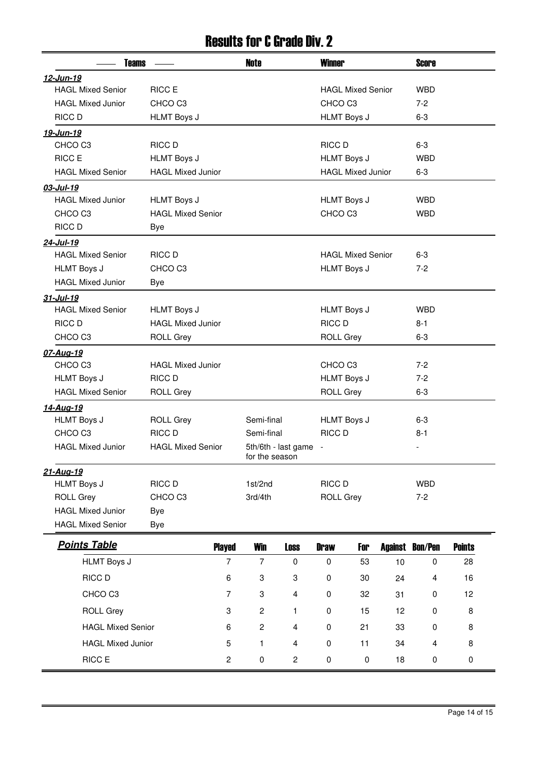#### Results for C Grade Div. 2

| <b>Teams</b>                                 |                          |                | <b>Note</b>                           |                    | <b>Winner</b>            |                          |                  | <b>Score</b>       |               |  |
|----------------------------------------------|--------------------------|----------------|---------------------------------------|--------------------|--------------------------|--------------------------|------------------|--------------------|---------------|--|
| <u>12-Jun-19</u>                             |                          |                |                                       |                    |                          |                          |                  |                    |               |  |
| <b>HAGL Mixed Senior</b><br>RICC E           |                          |                |                                       |                    |                          | <b>HAGL Mixed Senior</b> |                  |                    |               |  |
| <b>HAGL Mixed Junior</b>                     | CHCO <sub>C3</sub>       |                |                                       |                    | CHCO <sub>C3</sub>       |                          |                  | $7 - 2$            |               |  |
| RICC D                                       | <b>HLMT Boys J</b>       |                |                                       |                    | <b>HLMT Boys J</b>       |                          |                  | $6 - 3$            |               |  |
| <u>19-Jun-19</u>                             |                          |                |                                       |                    |                          |                          |                  |                    |               |  |
| CHCO <sub>C3</sub>                           | RICC D                   |                |                                       |                    | <b>RICC D</b>            |                          |                  | $6-3$              |               |  |
| <b>RICC E</b>                                | <b>HLMT Boys J</b>       |                |                                       |                    | <b>HLMT Boys J</b>       |                          |                  | <b>WBD</b>         |               |  |
| <b>HAGL Mixed Senior</b>                     | <b>HAGL Mixed Junior</b> |                |                                       |                    |                          | <b>HAGL Mixed Junior</b> |                  | $6-3$              |               |  |
| 03-Jul-19                                    |                          |                |                                       |                    |                          |                          |                  |                    |               |  |
| <b>HAGL Mixed Junior</b>                     | <b>HLMT Boys J</b>       |                |                                       |                    | <b>HLMT Boys J</b>       |                          |                  | <b>WBD</b>         |               |  |
| CHCO <sub>C3</sub>                           | <b>HAGL Mixed Senior</b> |                |                                       |                    | CHCO <sub>C3</sub>       |                          |                  | <b>WBD</b>         |               |  |
| RICC D                                       | Bye                      |                |                                       |                    |                          |                          |                  |                    |               |  |
| 24-Jul-19                                    |                          |                |                                       |                    |                          |                          |                  |                    |               |  |
| <b>HAGL Mixed Senior</b>                     | <b>RICC D</b>            |                |                                       |                    |                          | <b>HAGL Mixed Senior</b> |                  | $6-3$              |               |  |
| <b>HLMT Boys J</b>                           | CHCO <sub>C3</sub>       |                |                                       |                    | <b>HLMT Boys J</b>       |                          |                  | $7-2$              |               |  |
| <b>HAGL Mixed Junior</b>                     | Bye                      |                |                                       |                    |                          |                          |                  |                    |               |  |
| 31-Jul-19                                    |                          |                |                                       |                    |                          |                          |                  |                    |               |  |
| <b>HAGL Mixed Senior</b>                     | <b>HLMT Boys J</b>       |                |                                       |                    | <b>HLMT Boys J</b>       |                          |                  | <b>WBD</b>         |               |  |
| RICC D                                       | <b>HAGL Mixed Junior</b> |                |                                       |                    | <b>RICC D</b>            |                          |                  | $8 - 1$            |               |  |
| CHCO <sub>C3</sub>                           | <b>ROLL Grey</b>         |                |                                       |                    | <b>ROLL Grey</b>         |                          |                  | $6 - 3$            |               |  |
| 07-Aug-19                                    |                          |                |                                       |                    |                          |                          |                  |                    |               |  |
| CHCO <sub>C3</sub>                           | <b>HAGL Mixed Junior</b> |                |                                       | CHCO <sub>C3</sub> |                          |                          | $7-2$            |                    |               |  |
| <b>HLMT Boys J</b>                           | RICC D                   |                |                                       |                    | <b>HLMT Boys J</b>       |                          |                  | $7 - 2$            |               |  |
| <b>HAGL Mixed Senior</b><br><b>ROLL Grey</b> |                          |                |                                       |                    | <b>ROLL Grey</b>         |                          |                  | $6 - 3$            |               |  |
| <u>14-Aug-19</u>                             |                          |                |                                       |                    |                          |                          |                  |                    |               |  |
| <b>HLMT Boys J</b>                           | <b>ROLL Grey</b>         |                | Semi-final                            |                    | <b>HLMT Boys J</b>       |                          |                  | $6 - 3$<br>$8 - 1$ |               |  |
| CHCO <sub>C3</sub>                           | RICC D                   |                |                                       | Semi-final         |                          | RICC D                   |                  |                    |               |  |
| <b>HAGL Mixed Junior</b>                     | <b>HAGL Mixed Senior</b> |                | 5th/6th - last game<br>for the season |                    | $\overline{\phantom{a}}$ |                          |                  |                    |               |  |
| 21-Aug-19                                    |                          |                |                                       |                    |                          |                          |                  |                    |               |  |
| <b>HLMT Boys J</b><br>RICC D                 |                          | 1st/2nd        |                                       | RICC D             |                          |                          | <b>WBD</b>       |                    |               |  |
| <b>ROLL Grey</b>                             | CHCO <sub>C3</sub>       |                | 3rd/4th                               |                    | <b>ROLL Grey</b>         |                          |                  | $7 - 2$            |               |  |
| <b>HAGL Mixed Junior</b>                     | Bye                      |                |                                       |                    |                          |                          |                  |                    |               |  |
| <b>HAGL Mixed Senior</b>                     | Bye                      |                |                                       |                    |                          |                          |                  |                    |               |  |
| <b>Points Table</b>                          |                          | <b>Played</b>  | <b>Win</b>                            | <b>Loss</b>        | <b>Draw</b>              | For                      | <b>Against</b>   | <b>Bon/Pen</b>     | <b>Points</b> |  |
| <b>HLMT Boys J</b>                           |                          | $\overline{7}$ | $\overline{7}$                        | $\pmb{0}$          | $\pmb{0}$                | 53                       | 10               | $\pmb{0}$          | 28            |  |
| RICC D                                       |                          | 6              | 3                                     | 3                  | 0                        | 30                       | 24               | 4                  | 16            |  |
| CHCO <sub>C3</sub>                           |                          | 7              | 3                                     | 4                  | $\pmb{0}$                | 32                       | 31               | $\boldsymbol{0}$   | 12            |  |
| <b>ROLL Grey</b>                             |                          | 3              | $\overline{c}$                        | $\mathbf{1}$       | $\pmb{0}$                | 15                       | 12               | 0                  | 8             |  |
|                                              |                          | $\overline{c}$ | 4                                     | 0                  | 21                       | 33                       | $\boldsymbol{0}$ | 8                  |               |  |
| <b>HAGL Mixed Senior</b><br>6                |                          |                |                                       |                    | $\pmb{0}$                | 11                       | 34               |                    |               |  |
| <b>HAGL Mixed Junior</b>                     |                          | 5              | 1                                     | 4                  |                          |                          |                  | 4                  | 8             |  |
| RICC E                                       |                          | $\overline{c}$ | $\pmb{0}$                             | $\overline{c}$     | $\pmb{0}$                | $\pmb{0}$                | 18               | $\pmb{0}$          | $\pmb{0}$     |  |